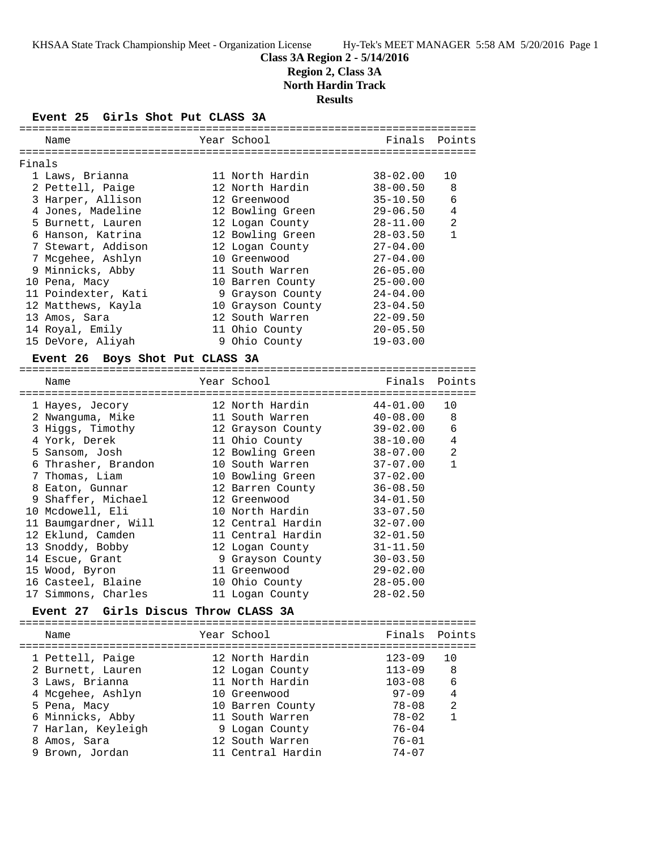## **Class 3A Region 2 - 5/14/2016 Region 2, Class 3A**

**North Hardin Track**

**Results**

#### **Event 25 Girls Shot Put CLASS 3A**

|        | Name                            | Year School       | Finals Points |                |
|--------|---------------------------------|-------------------|---------------|----------------|
| Finals |                                 |                   |               |                |
|        | 1 Laws, Brianna                 | 11 North Hardin   | 38-02.00      | 10             |
|        | 2 Pettell, Paige                | 12 North Hardin   | 38-00.50      | 8              |
|        | 3 Harper, Allison               | 12 Greenwood      | 35-10.50      | 6              |
|        | 4 Jones, Madeline               | 12 Bowling Green  | 29-06.50      | $\overline{4}$ |
|        | 5 Burnett, Lauren               | 12 Logan County   | $28 - 11.00$  | 2              |
|        | 6 Hanson, Katrina               | 12 Bowling Green  | $28 - 03.50$  | $\mathbf{1}$   |
|        | 7 Stewart, Addison              | 12 Logan County   | $27 - 04.00$  |                |
|        | 7 Mcgehee, Ashlyn               | 10 Greenwood      | $27 - 04.00$  |                |
|        | 9 Minnicks, Abby                | 11 South Warren   | $26 - 05.00$  |                |
|        | 10 Pena, Macy                   | 10 Barren County  | $25 - 00.00$  |                |
|        | 11 Poindexter, Kati             | 9 Grayson County  | $24 - 04.00$  |                |
|        | 12 Matthews, Kayla              | 10 Grayson County | $23 - 04.50$  |                |
|        | 13 Amos, Sara                   | 12 South Warren   | $22 - 09.50$  |                |
|        | 14 Royal, Emily                 | 11 Ohio County    | $20 - 05.50$  |                |
|        | 15 DeVore, Aliyah               | 9 Ohio County     | $19 - 03.00$  |                |
|        | Event 26 Boys Shot Put CLASS 3A |                   |               |                |
|        |                                 |                   |               |                |

## Name **Name** Year School **Finals Points** ======================================================================= 1 Hayes, Jecory 12 North Hardin 44-01.00 10 2 Nwanguma, Mike 11 South Warren 40-08.00 8 3 Higgs, Timothy 12 Grayson County 39-02.00 6 4 York, Derek 11 Ohio County 38-10.00 4 5 Sansom, Josh 12 Bowling Green 38-07.00 2 6 Thrasher, Brandon 10 South Warren 37-07.00 1 7 Thomas, Liam 10 Bowling Green 37-02.00 8 Eaton, Gunnar 12 Barren County 36-08.50 9 Shaffer, Michael 12 Greenwood 34-01.50 10 Mcdowell, Eli 10 North Hardin 33-07.50 11 Baumgardner, Will 12 Central Hardin 32-07.00 12 Eklund, Camden 11 Central Hardin 32-01.50 13 Snoddy, Bobby 12 Logan County 31-11.50 14 Escue, Grant 9 Grayson County 30-03.50 15 Wood, Byron 11 Greenwood 29-02.00 16 Casteel, Blaine 10 Ohio County 28-05.00 17 Simmons, Charles 11 Logan County 28-02.50

## **Event 27 Girls Discus Throw CLASS 3A**

| Name               | Year School       | Finals Points |     |
|--------------------|-------------------|---------------|-----|
| 1 Pettell, Paige   | 12 North Hardin   | $123 - 09$    | 1 O |
| 2 Burnett, Lauren  | 12 Logan County   | $113 - 09$    | 8   |
| 3 Laws, Brianna    | 11 North Hardin   | $103 - 08$    | 6   |
| 4 Mcgehee, Ashlyn  | 10 Greenwood      | $97 - 09$     | 4   |
| 5 Pena, Macy       | 10 Barren County  | 78-08         | 2   |
| 6 Minnicks, Abby   | 11 South Warren   | $78 - 02$     | 1   |
| 7 Harlan, Keyleigh | 9 Logan County    | $76 - 04$     |     |
| 8 Amos, Sara       | 12 South Warren   | $76 - 01$     |     |
| 9 Brown, Jordan    | 11 Central Hardin | $74 - 07$     |     |
|                    |                   |               |     |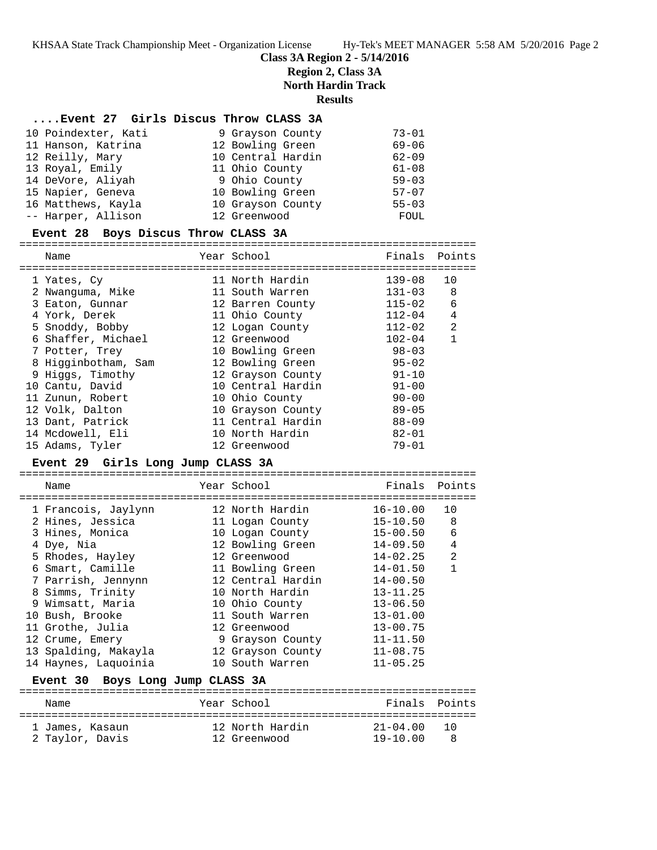KHSAA State Track Championship Meet - Organization License Hy-Tek's MEET MANAGER 5:58 AM 5/20/2016 Page 2

### **Class 3A Region 2 - 5/14/2016**

**Region 2, Class 3A**

**North Hardin Track**

**Results**

#### **....Event 27 Girls Discus Throw CLASS 3A**

| 10 Poindexter, Kati | 9 Grayson County  | $73 - 01$ |
|---------------------|-------------------|-----------|
| 11 Hanson, Katrina  | 12 Bowling Green  | $69 - 06$ |
| 12 Reilly, Mary     | 10 Central Hardin | $62 - 09$ |
| 13 Royal, Emily     | 11 Ohio County    | $61 - 08$ |
| 14 DeVore, Aliyah   | 9 Ohio County     | $59 - 03$ |
| 15 Napier, Geneva   | 10 Bowling Green  | $57 - 07$ |
| 16 Matthews, Kayla  | 10 Grayson County | $55 - 03$ |
| -- Harper, Allison  | 12 Greenwood      | FOUL      |

#### **Event 28 Boys Discus Throw CLASS 3A**

======================================================================= Name **The Year School** Finals Points

| 1 Yates, Cy         | 11 North Hardin   | $139 - 08$ | 10             |
|---------------------|-------------------|------------|----------------|
| 2 Nwanquma, Mike    | 11 South Warren   | $131 - 03$ | 8              |
| 3 Eaton, Gunnar     | 12 Barren County  | $115 - 02$ | 6              |
| 4 York, Derek       | 11 Ohio County    | $112 - 04$ | 4              |
| 5 Snoddy, Bobby     | 12 Logan County   | $112 - 02$ | $\mathfrak{D}$ |
| 6 Shaffer, Michael  | 12 Greenwood      | $102 - 04$ | $\overline{1}$ |
| 7 Potter, Trey      | 10 Bowling Green  | $98 - 03$  |                |
| 8 Higginbotham, Sam | 12 Bowling Green  | $95 - 02$  |                |
| 9 Higgs, Timothy    | 12 Grayson County | $91 - 10$  |                |
| 10 Cantu, David     | 10 Central Hardin | $91 - 00$  |                |
| 11 Zunun, Robert    | 10 Ohio County    | $90 - 00$  |                |
| 12 Volk, Dalton     | 10 Grayson County | $89 - 05$  |                |
| 13 Dant, Patrick    | 11 Central Hardin | $88 - 09$  |                |
| 14 Mcdowell, Eli    | 10 North Hardin   | $82 - 01$  |                |
| 15 Adams, Tyler     | 12 Greenwood      | $79 - 01$  |                |

## **Event 29 Girls Long Jump CLASS 3A**

======================================================================= Name The Year School The Finals Points ======================================================================= 1 Francois, Jaylynn 12 North Hardin 16-10.00 10 2 Hines, Jessica 11 Logan County 15-10.50 8 3 Hines, Monica 10 Logan County 15-00.50 6 4 Dye, Nia 12 Bowling Green 14-09.50 4 5 Rhodes, Hayley 12 Greenwood 14-02.25 2 6 Smart, Camille 11 Bowling Green 14-01.50 1 7 Parrish, Jennynn 12 Central Hardin 14-00.50 8 Simms, Trinity 10 North Hardin 13-11.25 9 Wimsatt, Maria 10 Ohio County 13-06.50 10 Bush, Brooke 11 South Warren 13-01.00 11 Grothe, Julia 12 Greenwood 13-00.75 12 Crume, Emery 9 Grayson County 11-11.50 13 Spalding, Makayla 12 Grayson County 11-08.75 14 Haynes, Laquoinia 10 South Warren 11-05.25

### **Event 30 Boys Long Jump CLASS 3A**

| Name            | Year School     | Finals Points |        |
|-----------------|-----------------|---------------|--------|
| 1 James, Kasaun | 12 North Hardin | $21 - 04.00$  | ່ 1 ປີ |
| 2 Taylor, Davis | 12 Greenwood    | $19 - 10.00$  |        |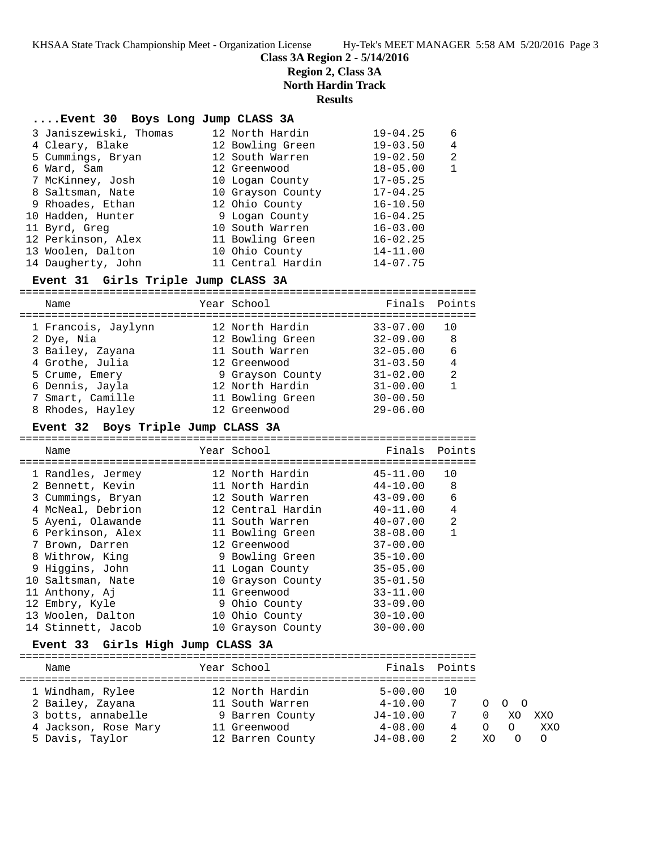## **Class 3A Region 2 - 5/14/2016**

|                                              | <b>Region 2, Class 3A</b><br><b>North Hardin Track</b><br><b>Results</b> |                   |                                                                                                                                                                                                                                                                                                             |                |
|----------------------------------------------|--------------------------------------------------------------------------|-------------------|-------------------------------------------------------------------------------------------------------------------------------------------------------------------------------------------------------------------------------------------------------------------------------------------------------------|----------------|
|                                              |                                                                          |                   |                                                                                                                                                                                                                                                                                                             |                |
|                                              |                                                                          |                   | $19 - 04.25$                                                                                                                                                                                                                                                                                                | 6              |
|                                              |                                                                          |                   |                                                                                                                                                                                                                                                                                                             | 4              |
|                                              |                                                                          |                   | $19 - 02.50$                                                                                                                                                                                                                                                                                                | $\overline{a}$ |
| 6 Ward, Sam                                  |                                                                          |                   | $18 - 05.00$                                                                                                                                                                                                                                                                                                | $\mathbf{1}$   |
| 7 McKinney, Josh                             |                                                                          |                   | $17 - 05.25$                                                                                                                                                                                                                                                                                                |                |
| 8 Saltsman, Nate                             |                                                                          |                   | $17 - 04.25$                                                                                                                                                                                                                                                                                                |                |
| 9 Rhoades, Ethan                             |                                                                          |                   | $16 - 10.50$                                                                                                                                                                                                                                                                                                |                |
| 10 Hadden, Hunter                            |                                                                          |                   | $16 - 04.25$                                                                                                                                                                                                                                                                                                |                |
| 11 Byrd, Greg                                |                                                                          |                   | $16 - 03.00$                                                                                                                                                                                                                                                                                                |                |
| 12 Perkinson, Alex                           |                                                                          |                   | $16 - 02.25$                                                                                                                                                                                                                                                                                                |                |
| 13 Woolen, Dalton                            |                                                                          |                   | $14 - 11.00$                                                                                                                                                                                                                                                                                                |                |
| 14 Daugherty, John                           |                                                                          |                   | $14 - 07.75$                                                                                                                                                                                                                                                                                                |                |
|                                              |                                                                          |                   |                                                                                                                                                                                                                                                                                                             |                |
|                                              |                                                                          |                   |                                                                                                                                                                                                                                                                                                             |                |
| Name                                         |                                                                          | Year School       | Finals                                                                                                                                                                                                                                                                                                      | Points         |
|                                              |                                                                          |                   |                                                                                                                                                                                                                                                                                                             |                |
| 1 Francois, Jaylynn                          |                                                                          | 12 North Hardin   | $33 - 07.00$                                                                                                                                                                                                                                                                                                | 10             |
| 2 Dye, Nia                                   |                                                                          | 12 Bowling Green  | $32 - 09.00$                                                                                                                                                                                                                                                                                                | 8              |
| 3 Bailey, Zayana                             |                                                                          | 11 South Warren   | $32 - 05.00$                                                                                                                                                                                                                                                                                                | 6              |
| 4 Grothe, Julia                              |                                                                          | 12 Greenwood      | $31 - 03.50$                                                                                                                                                                                                                                                                                                | 4              |
| 5 Crume, Emery                               |                                                                          | 9 Grayson County  | $31 - 02.00$                                                                                                                                                                                                                                                                                                | 2              |
| 6 Dennis, Jayla                              |                                                                          | 12 North Hardin   | $31 - 00.00$                                                                                                                                                                                                                                                                                                | $\mathbf{1}$   |
| 7 Smart, Camille                             |                                                                          | 11 Bowling Green  | $30 - 00.50$                                                                                                                                                                                                                                                                                                |                |
| 8 Rhodes, Hayley                             |                                                                          | 12 Greenwood      | $29 - 06.00$                                                                                                                                                                                                                                                                                                |                |
| Boys Triple Jump CLASS 3A<br><b>Event 32</b> |                                                                          |                   |                                                                                                                                                                                                                                                                                                             |                |
| Name                                         |                                                                          | Year School       | Finals                                                                                                                                                                                                                                                                                                      | Points         |
|                                              |                                                                          |                   |                                                                                                                                                                                                                                                                                                             |                |
|                                              |                                                                          | 12 North Hardin   | $45 - 11.00$                                                                                                                                                                                                                                                                                                | 10             |
| 1 Randles, Jermey<br>2 Bennett, Kevin        |                                                                          | 11 North Hardin   | $44 - 10.00$                                                                                                                                                                                                                                                                                                | 8              |
| 3 Cummings, Bryan                            |                                                                          | 12 South Warren   | $43 - 09.00$                                                                                                                                                                                                                                                                                                | 6              |
| 4 McNeal, Debrion                            |                                                                          | 12 Central Hardin | $40 - 11.00$                                                                                                                                                                                                                                                                                                | 4              |
|                                              | 3 Janiszewiski, Thomas<br>4 Cleary, Blake<br>5 Cummings, Bryan           |                   | Event 30 Boys Long Jump CLASS 3A<br>12 North Hardin<br>12 Bowling Green<br>12 South Warren<br>12 Greenwood<br>10 Logan County<br>10 Grayson County<br>12 Ohio County<br>9 Logan County<br>10 South Warren<br>11 Bowling Green<br>10 Ohio County<br>11 Central Hardin<br>Event 31 Girls Triple Jump CLASS 3A | $19 - 03.50$   |

 12 Embry, Kyle 9 Ohio County 33-09.00 13 Woolen, Dalton 10 Ohio County 30-10.00 14 Stinnett, Jacob 10 Grayson County 30-00.00 **Event 33 Girls High Jump CLASS 3A**

 6 Perkinson, Alex 11 Bowling Green 38-08.00 1 7 Brown, Darren 12 Greenwood 37-00.00 8 Withrow, King 9 Bowling Green 35-10.00 9 Higgins, John 11 Logan County 35-05.00 10 Saltsman, Nate 10 Grayson County 35-01.50 11 Anthony, Aj 11 Greenwood 33-11.00

======================================================================= Name The Year School The Finals Points ======================================================================= 1 Windham, Rylee 12 North Hardin 5-00.00 10 2 Bailey, Zayana 11 South Warren 4-10.00 7 O O O 3 botts, annabelle 9 Barren County J4-10.00 7 0 XO XXO 4 Jackson, Rose Mary 11 Greenwood 4-08.00 4 O O XXO 5 Davis, Taylor 12 Barren County J4-08.00 2 XO O O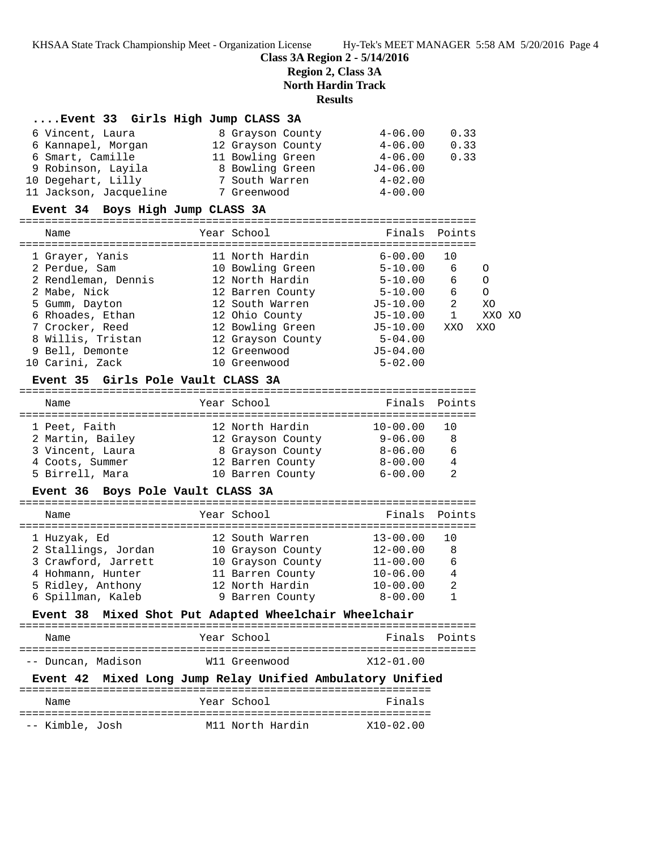KHSAA State Track Championship Meet - Organization License Hy-Tek's MEET MANAGER 5:58 AM 5/20/2016 Page 4

**Class 3A Region 2 - 5/14/2016**

**Region 2, Class 3A**

**North Hardin Track**

#### **Results**

### **....Event 33 Girls High Jump CLASS 3A**

| 6 Vincent, Laura       | 8 Grayson County  | $4 - 06.00$ | 0.33 |
|------------------------|-------------------|-------------|------|
| 6 Kannapel, Morgan     | 12 Grayson County | $4 - 06.00$ | 0.33 |
| 6 Smart, Camille       | 11 Bowling Green  | $4 - 06.00$ | 0.33 |
| 9 Robinson, Layila     | 8 Bowling Green   | $J4-06.00$  |      |
| 10 Degehart, Lilly     | 7 South Warren    | $4 - 02.00$ |      |
| 11 Jackson, Jacqueline | 7 Greenwood       | $4 - 00.00$ |      |

#### **Event 34 Boys High Jump CLASS 3A**

======================================================================= Name Year School Finals Points ======================================================================= 1 Grayer, Yanis 11 North Hardin 6-00.00 10 2 Perdue, Sam 10 Bowling Green 5-10.00 6 O 2 Rendleman, Dennis 12 North Hardin 5-10.00 6 O 2 Mabe, Nick 12 Barren County 5-10.00 6 O 5 Gumm, Dayton 12 South Warren J5-10.00 2 XO 6 Rhoades, Ethan 12 Ohio County J5-10.00 1 XXO XO 7 Crocker, Reed 12 Bowling Green J5-10.00 XXO XXO 8 Willis, Tristan 12 Grayson County 5-04.00 9 Bell, Demonte 12 Greenwood J5-04.00 10 Carini, Zack 10 Greenwood 5-02.00

#### **Event 35 Girls Pole Vault CLASS 3A**

## ======================================================================= Name The Year School Team Points Points ======================================================================= 1 Peet, Faith 12 North Hardin 10-00.00 10 2 Martin, Bailey 12 Grayson County 9-06.00 8 3 Vincent, Laura 8 Grayson County 8-06.00 6 4 Coots, Summer 12 Barren County 8-00.00 4 5 Birrell, Mara 10 Barren County 6-00.00 2

#### **Event 36 Boys Pole Vault CLASS 3A**

| Name                | Year School                                  | Finals Points |                |
|---------------------|----------------------------------------------|---------------|----------------|
| 1 Huzyak, Ed        | 12 South Warren                              | $13 - 00.00$  |                |
| 2 Stallings, Jordan | 10 Grayson County                            | $12 - 00.00$  | - 8            |
| 3 Crawford, Jarrett | 10 Grayson County                            | $11 - 00.00$  | 6              |
| 4 Hohmann, Hunter   | 11 Barren County                             | $10 - 06.00$  | $\overline{4}$ |
| 5 Ridley, Anthony   | 12 North Hardin                              | $10 - 00.00$  | 2              |
| 6 Spillman, Kaleb   | 9 Barren County                              | $8 - 00.00$   |                |
| Event 38            | Mixed Shot Put Adapted Wheelchair Wheelchair |               |                |

# ======================================================================= Name The Year School The Finals Points ======================================================================= -- Duncan, Madison W11 Greenwood X12-01.00

## **Event 42 Mixed Long Jump Relay Unified Ambulatory Unified**

| Name            | Year School      | Finals        |
|-----------------|------------------|---------------|
| -- Kimble, Josh | M11 North Hardin | $X10 - 02.00$ |